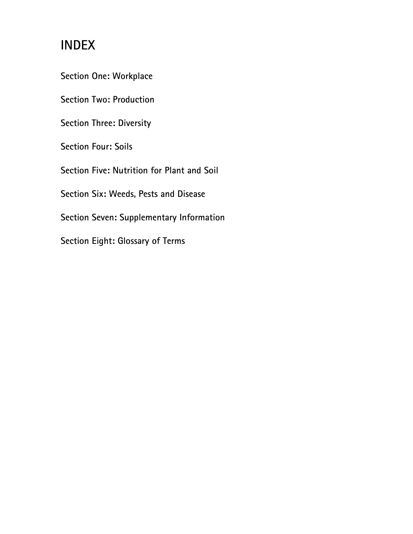## INDEX

Section One: Workplace

Section Two: Production

Section Three: Diversity

Section Four: Soils

Section Five: Nutrition for Plant and Soil

Section Six: Weeds, Pests and Disease

Section Seven: Supplementary Information

Section Eight: Glossary of Terms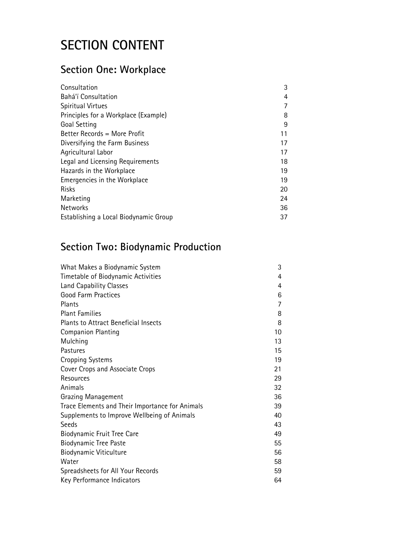# SECTION CONTENT

### Section One: Workplace

| Consultation                          | 3  |
|---------------------------------------|----|
| Bahá'í Consultation                   | 4  |
| <b>Spiritual Virtues</b>              |    |
| Principles for a Workplace (Example)  | 8  |
| Goal Setting                          | 9  |
| Better Records = More Profit          | 11 |
| Diversifying the Farm Business        | 17 |
| Agricultural Labor                    | 17 |
| Legal and Licensing Requirements      | 18 |
| Hazards in the Workplace              | 19 |
| Emergencies in the Workplace          | 19 |
| <b>Risks</b>                          | 20 |
| Marketing                             | 24 |
| <b>Networks</b>                       | 36 |
| Establishing a Local Biodynamic Group | 37 |

### Section Two: Biodynamic Production

| What Makes a Biodynamic System                  | 3  |
|-------------------------------------------------|----|
| Timetable of Biodynamic Activities              | 4  |
| Land Capability Classes                         | 4  |
| <b>Good Farm Practices</b>                      | 6  |
| Plants                                          | 7  |
| <b>Plant Families</b>                           | 8  |
| <b>Plants to Attract Beneficial Insects</b>     | 8  |
| <b>Companion Planting</b>                       | 10 |
| Mulching                                        | 13 |
| Pastures                                        | 15 |
| <b>Cropping Systems</b>                         | 19 |
| Cover Crops and Associate Crops                 | 21 |
| Resources                                       | 29 |
| Animals                                         | 32 |
| <b>Grazing Management</b>                       | 36 |
| Trace Elements and Their Importance for Animals | 39 |
| Supplements to Improve Wellbeing of Animals     | 40 |
| Seeds                                           | 43 |
| Biodynamic Fruit Tree Care                      | 49 |
| <b>Biodynamic Tree Paste</b>                    | 55 |
| Biodynamic Viticulture                          | 56 |
| Water                                           | 58 |
| Spreadsheets for All Your Records               | 59 |
| Key Performance Indicators                      | 64 |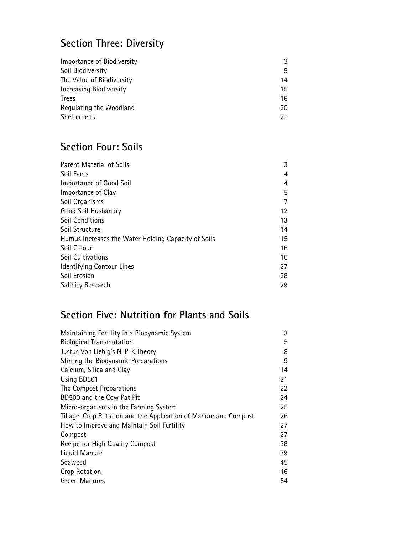## Section Three: Diversity

| Importance of Biodiversity | 3  |
|----------------------------|----|
| Soil Biodiversity          | 9  |
| The Value of Biodiversity  | 14 |
| Increasing Biodiversity    | 15 |
| Trees                      | 16 |
| Regulating the Woodland    | 20 |
| Shelterbelts               |    |

### Section Four: Soils

| <b>Parent Material of Soils</b>                     | 3  |
|-----------------------------------------------------|----|
| Soil Facts                                          | 4  |
| Importance of Good Soil                             | 4  |
| Importance of Clay                                  | 5  |
| Soil Organisms                                      |    |
| Good Soil Husbandry                                 | 12 |
| <b>Soil Conditions</b>                              | 13 |
| Soil Structure                                      | 14 |
| Humus Increases the Water Holding Capacity of Soils | 15 |
| Soil Colour                                         | 16 |
| Soil Cultivations                                   | 16 |
| Identifying Contour Lines                           | 27 |
| Soil Erosion                                        | 28 |
| Salinity Research                                   | 29 |

### Section Five: Nutrition for Plants and Soils

| Maintaining Fertility in a Biodynamic System                     | 3  |
|------------------------------------------------------------------|----|
| <b>Biological Transmutation</b>                                  | 5  |
| Justus Von Liebig's N-P-K Theory                                 | 8  |
| Stirring the Biodynamic Preparations                             | 9  |
| Calcium, Silica and Clay                                         | 14 |
| Using BD501                                                      | 21 |
| The Compost Preparations                                         | 22 |
| BD500 and the Cow Pat Pit                                        | 24 |
| Micro-organisms in the Farming System                            | 25 |
| Tillage, Crop Rotation and the Application of Manure and Compost | 26 |
| How to Improve and Maintain Soil Fertility                       | 27 |
| Compost                                                          | 27 |
| Recipe for High Quality Compost                                  | 38 |
| Liquid Manure                                                    | 39 |
| Seaweed                                                          | 45 |
| Crop Rotation                                                    | 46 |
| <b>Green Manures</b>                                             | 54 |